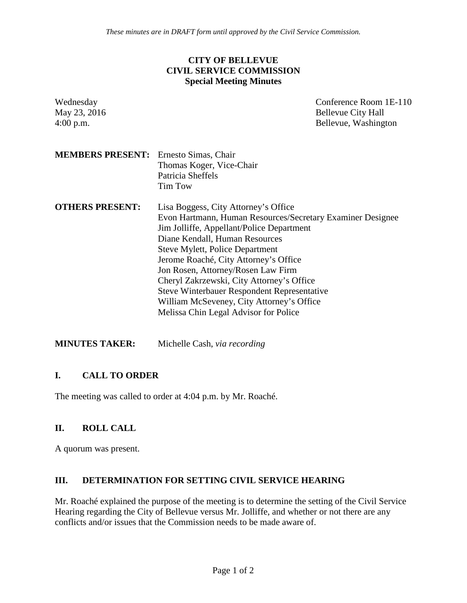*These minutes are in DRAFT form until approved by the Civil Service Commission.*

### **CITY OF BELLEVUE CIVIL SERVICE COMMISSION Special Meeting Minutes**

| Wednesday<br>May 23, 2016<br>$4:00$ p.m. | Conference Room 1E-110<br><b>Bellevue City Hall</b><br>Bellevue, Washington                                                                                                                                                                                                                                                                                                                                                                                                                         |
|------------------------------------------|-----------------------------------------------------------------------------------------------------------------------------------------------------------------------------------------------------------------------------------------------------------------------------------------------------------------------------------------------------------------------------------------------------------------------------------------------------------------------------------------------------|
| <b>MEMBERS PRESENT:</b>                  | Ernesto Simas, Chair<br>Thomas Koger, Vice-Chair<br>Patricia Sheffels<br><b>Tim Tow</b>                                                                                                                                                                                                                                                                                                                                                                                                             |
| <b>OTHERS PRESENT:</b>                   | Lisa Boggess, City Attorney's Office<br>Evon Hartmann, Human Resources/Secretary Examiner Designee<br>Jim Jolliffe, Appellant/Police Department<br>Diane Kendall, Human Resources<br><b>Steve Mylett, Police Department</b><br>Jerome Roaché, City Attorney's Office<br>Jon Rosen, Attorney/Rosen Law Firm<br>Cheryl Zakrzewski, City Attorney's Office<br><b>Steve Winterbauer Respondent Representative</b><br>William McSeveney, City Attorney's Office<br>Melissa Chin Legal Advisor for Police |

**MINUTES TAKER:** Michelle Cash, *via recording*

### **I. CALL TO ORDER**

The meeting was called to order at 4:04 p.m. by Mr. Roaché.

## **II. ROLL CALL**

A quorum was present.

### **III. DETERMINATION FOR SETTING CIVIL SERVICE HEARING**

Mr. Roaché explained the purpose of the meeting is to determine the setting of the Civil Service Hearing regarding the City of Bellevue versus Mr. Jolliffe, and whether or not there are any conflicts and/or issues that the Commission needs to be made aware of.